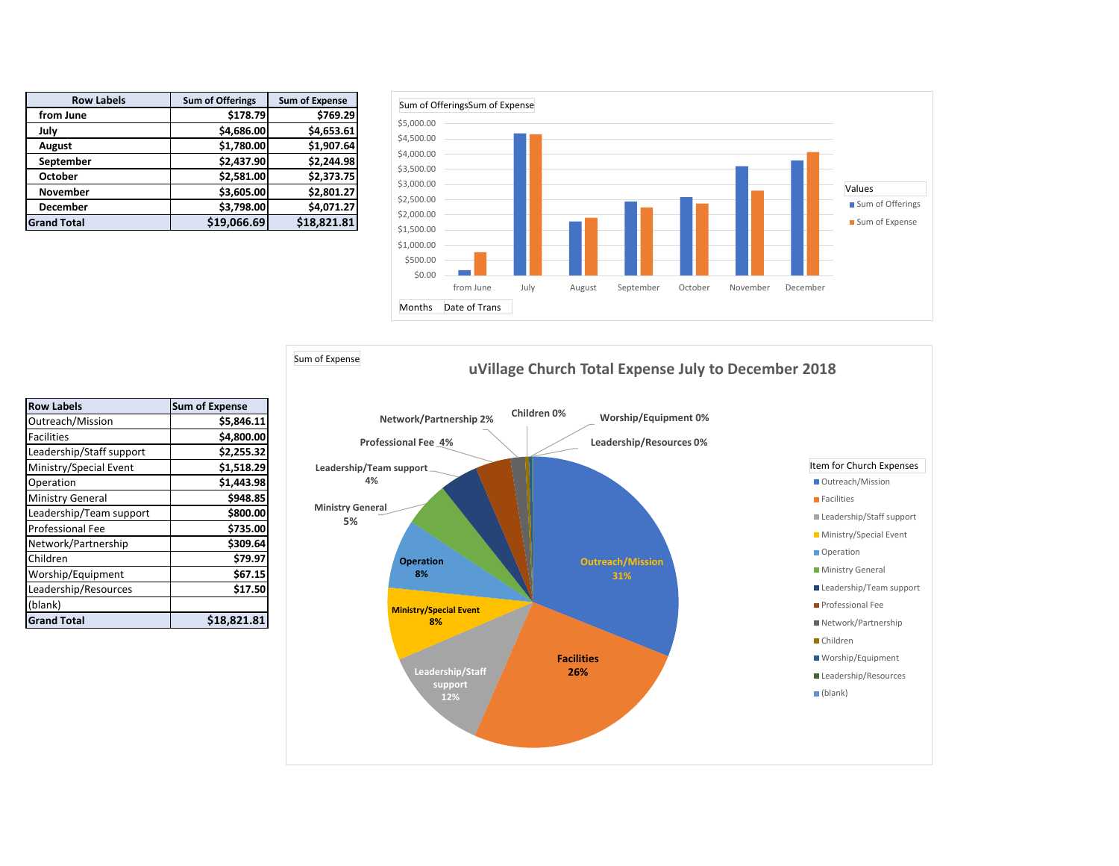| <b>Row Labels</b>  | <b>Sum of Offerings</b> | <b>Sum of Expense</b> |
|--------------------|-------------------------|-----------------------|
| from June          | \$178.79                | \$769.29              |
| July               | \$4,686.00              | \$4,653.61            |
| August             | \$1,780.00              | \$1,907.64            |
| September          | \$2,437.90              | \$2,244.98            |
| <b>October</b>     | \$2,581.00              | \$2,373.75            |
| <b>November</b>    | \$3,605.00              | \$2,801.27            |
| <b>December</b>    | \$3,798.00              | \$4,071.27            |
| <b>Grand Total</b> | \$19,066.69             | \$18,821.81           |





| <b>Row Labels</b>        | <b>Sum of Expense</b> |
|--------------------------|-----------------------|
| Outreach/Mission         | \$5,846.11            |
| <b>Facilities</b>        | \$4,800.00            |
| Leadership/Staff support | \$2,255.32            |
| Ministry/Special Event   | \$1,518.29            |
| Operation                | \$1,443.98            |
| Ministry General         | \$948.85              |
| Leadership/Team support  | \$800.00              |
| <b>Professional Fee</b>  | \$735.00              |
| Network/Partnership      | \$309.64              |
| Children                 | \$79.97               |
| Worship/Equipment        | \$67.15               |
| Leadership/Resources     | \$17.50               |
| (blank)                  |                       |
| <b>Grand Total</b>       | \$18.821.81           |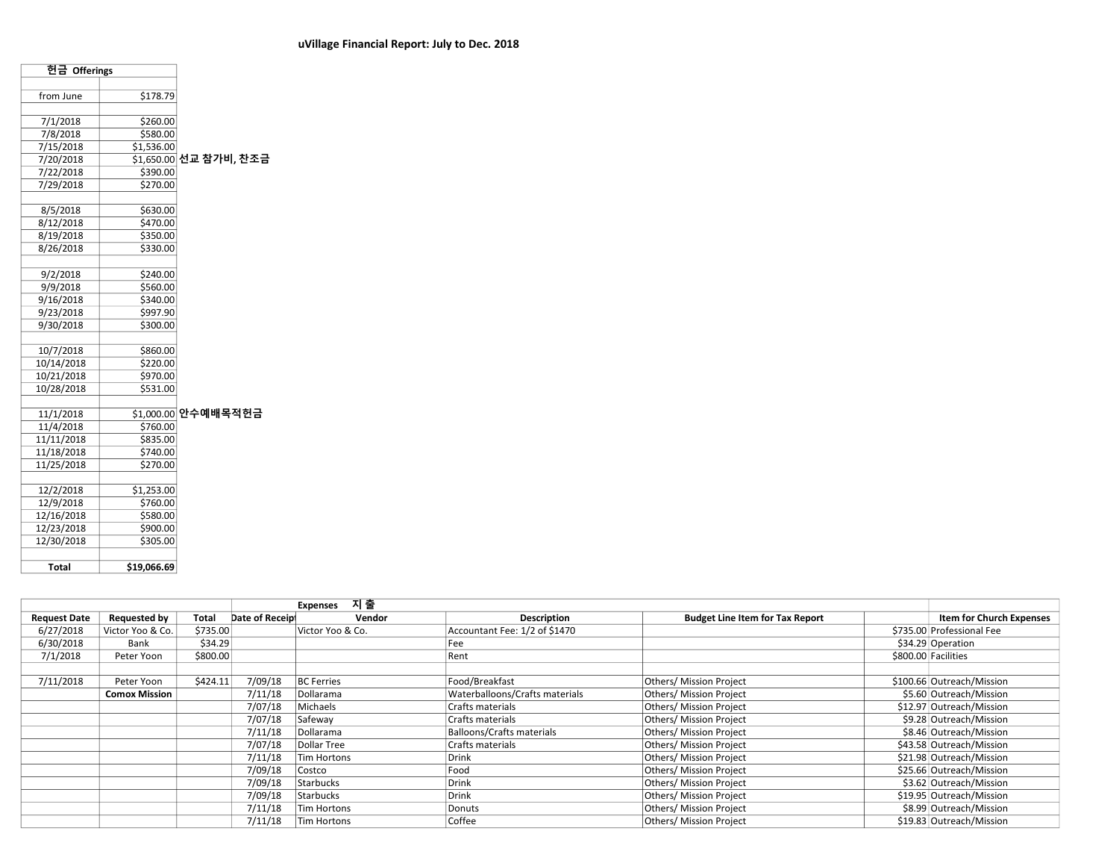| 헌금 Offerings             |                      |                        |
|--------------------------|----------------------|------------------------|
|                          |                      |                        |
| from June                | \$178.79             |                        |
| 7/1/2018                 | \$260.00             |                        |
| 7/8/2018                 | \$580.00             |                        |
| 7/15/2018                | \$1,536.00           |                        |
| 7/20/2018                |                      | \$1,650.00 선교 참가비, 찬조금 |
| 7/22/2018                | \$390.00             |                        |
| 7/29/2018                | \$270.00             |                        |
|                          |                      |                        |
| 8/5/2018                 | \$630.00             |                        |
| 8/12/2018                | \$470.00             |                        |
| 8/19/2018                | \$350.00             |                        |
| 8/26/2018                | \$330.00             |                        |
|                          |                      |                        |
| 9/2/2018                 | \$240.00             |                        |
| 9/9/2018                 | \$560.00             |                        |
| 9/16/2018                | \$340.00             |                        |
| 9/23/2018                | \$997.90             |                        |
| 9/30/2018                | \$300.00             |                        |
|                          |                      |                        |
| 10/7/2018                | \$860.00             |                        |
| 10/14/2018               | \$220.00             |                        |
| 10/21/2018               | \$970.00             |                        |
| 10/28/2018               | \$531.00             |                        |
|                          |                      |                        |
| 11/1/2018                | \$1,000.00           | 안수예배목적헌금               |
| 11/4/2018                | \$760.00             |                        |
| 11/11/2018               | \$835.00             |                        |
| 11/18/2018<br>11/25/2018 | \$740.00<br>\$270.00 |                        |
|                          |                      |                        |
| 12/2/2018                | \$1,253.00           |                        |
| 12/9/2018                | \$760.00             |                        |
| 12/16/2018               | \$580.00             |                        |
| 12/23/2018               | \$900.00             |                        |
| 12/30/2018               | \$305.00             |                        |
|                          |                      |                        |
| <b>Total</b>             | \$19,066.69          |                        |
|                          |                      |                        |

|                     |                      |          |                | 지 출<br><b>Expenses</b> |                                |                                        |                           |
|---------------------|----------------------|----------|----------------|------------------------|--------------------------------|----------------------------------------|---------------------------|
| <b>Request Date</b> | <b>Requested by</b>  | Total    | Date of Receip | Vendor                 | Description                    | <b>Budget Line Item for Tax Report</b> | Item for Church Expenses  |
| 6/27/2018           | Victor Yoo & Co.     | \$735.00 |                | Victor Yoo & Co.       | Accountant Fee: 1/2 of \$1470  |                                        | \$735.00 Professional Fee |
| 6/30/2018           | Bank                 | \$34.29  |                |                        | Fee                            |                                        | \$34.29 Operation         |
| 7/1/2018            | Peter Yoon           | \$800.00 |                |                        | Rent                           |                                        | \$800.00 Facilities       |
|                     |                      |          |                |                        |                                |                                        |                           |
| 7/11/2018           | Peter Yoon           | \$424.11 | 7/09/18        | <b>BC</b> Ferries      | Food/Breakfast                 | Others/ Mission Project                | \$100.66 Outreach/Mission |
|                     | <b>Comox Mission</b> |          | 7/11/18        | Dollarama              | Waterballoons/Crafts materials | Others/ Mission Project                | \$5.60 Outreach/Mission   |
|                     |                      |          | 7/07/18        | Michaels               | Crafts materials               | Others/ Mission Project                | \$12.97 Outreach/Mission  |
|                     |                      |          | 7/07/18        | Safeway                | Crafts materials               | Others/ Mission Project                | \$9.28 Outreach/Mission   |
|                     |                      |          | 7/11/18        | Dollarama              | Balloons/Crafts materials      | Others/ Mission Project                | \$8.46 Outreach/Mission   |
|                     |                      |          | 7/07/18        | Dollar Tree            | Crafts materials               | Others/ Mission Project                | \$43.58 Outreach/Mission  |
|                     |                      |          | 7/11/18        | Tim Hortons            | Drink                          | Others/ Mission Project                | \$21.98 Outreach/Mission  |
|                     |                      |          | 7/09/18        | Costco                 | Food                           | Others/ Mission Project                | \$25.66 Outreach/Mission  |
|                     |                      |          | 7/09/18        | <b>Starbucks</b>       | Drink                          | Others/ Mission Project                | \$3.62 Outreach/Mission   |
|                     |                      |          | 7/09/18        | <b>Starbucks</b>       | Drink                          | Others/ Mission Project                | \$19.95 Outreach/Mission  |
|                     |                      |          | 7/11/18        | Tim Hortons            | Donuts                         | Others/ Mission Project                | \$8.99 Outreach/Mission   |
|                     |                      |          | 7/11/18        | <b>Tim Hortons</b>     | Coffee                         | Others/ Mission Project                | \$19.83 Outreach/Mission  |
|                     |                      |          |                |                        |                                |                                        |                           |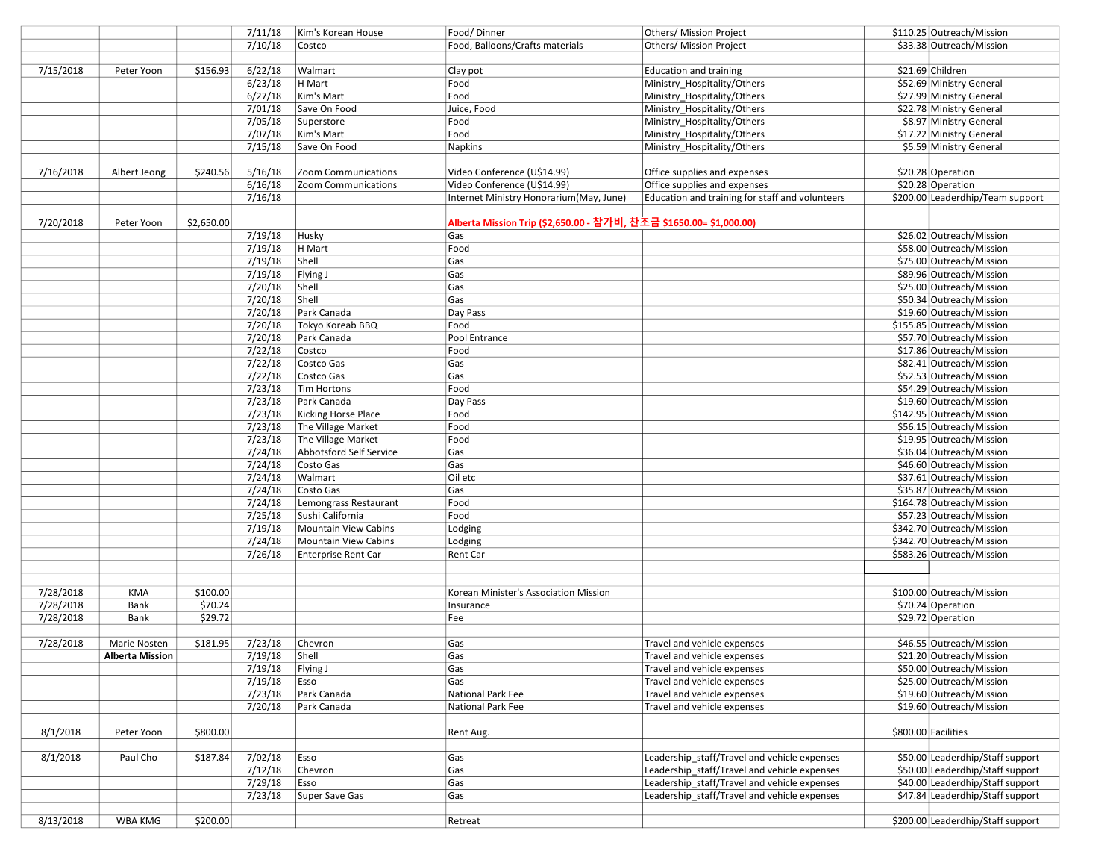|           |                        |            | 7/11/18 | Kim's Korean House      | Food/Dinner                                                        | Others/ Mission Project                         | \$110.25 Outreach/Mission         |
|-----------|------------------------|------------|---------|-------------------------|--------------------------------------------------------------------|-------------------------------------------------|-----------------------------------|
|           |                        |            | 7/10/18 | Costco                  | Food, Balloons/Crafts materials                                    | Others/ Mission Project                         | \$33.38 Outreach/Mission          |
|           |                        |            |         |                         |                                                                    |                                                 |                                   |
| 7/15/2018 | Peter Yoon             | \$156.93   | 6/22/18 | Walmart                 | Clay pot                                                           | Education and training                          | \$21.69 Children                  |
|           |                        |            | 6/23/18 | H Mart                  | Food                                                               | Ministry_Hospitality/Others                     | \$52.69 Ministry General          |
|           |                        |            | 6/27/18 | Kim's Mart              | Food                                                               | Ministry_Hospitality/Others                     | \$27.99 Ministry General          |
|           |                        |            | 7/01/18 | Save On Food            | Juice, Food                                                        | Ministry_Hospitality/Others                     | \$22.78 Ministry General          |
|           |                        |            | 7/05/18 | Superstore              | Food                                                               | Ministry Hospitality/Others                     | \$8.97 Ministry General           |
|           |                        |            |         |                         |                                                                    |                                                 |                                   |
|           |                        |            | 7/07/18 | Kim's Mart              | Food                                                               | Ministry_Hospitality/Others                     | \$17.22 Ministry General          |
|           |                        |            | 7/15/18 | Save On Food            | <b>Napkins</b>                                                     | Ministry_Hospitality/Others                     | \$5.59 Ministry General           |
|           |                        |            |         |                         |                                                                    |                                                 |                                   |
| 7/16/2018 | Albert Jeong           | \$240.56   | 5/16/18 | Zoom Communications     | Video Conference (U\$14.99)                                        | Office supplies and expenses                    | \$20.28 Operation                 |
|           |                        |            | 6/16/18 | Zoom Communications     | Video Conference (U\$14.99)                                        | Office supplies and expenses                    | \$20.28 Operation                 |
|           |                        |            | 7/16/18 |                         | Internet Ministry Honorarium(May, June)                            | Education and training for staff and volunteers | \$200.00 Leaderdhip/Team support  |
|           |                        |            |         |                         |                                                                    |                                                 |                                   |
| 7/20/2018 | Peter Yoon             | \$2,650.00 |         |                         | Alberta Mission Trip (\$2,650.00 - 참가비, 찬조금 \$1650.00= \$1,000.00) |                                                 |                                   |
|           |                        |            | 7/19/18 | Husky                   | Gas                                                                |                                                 | \$26.02 Outreach/Mission          |
|           |                        |            | 7/19/18 | H Mart                  | Food                                                               |                                                 | \$58.00 Outreach/Mission          |
|           |                        |            | 7/19/18 | Shell                   | Gas                                                                |                                                 | \$75.00 Outreach/Mission          |
|           |                        |            | 7/19/18 | Flying J                | Gas                                                                |                                                 | \$89.96 Outreach/Mission          |
|           |                        |            | 7/20/18 | Shell                   | Gas                                                                |                                                 | \$25.00 Outreach/Mission          |
|           |                        |            | 7/20/18 | Shell                   | Gas                                                                |                                                 | \$50.34 Outreach/Mission          |
|           |                        |            | 7/20/18 | Park Canada             | Day Pass                                                           |                                                 | \$19.60 Outreach/Mission          |
|           |                        |            | 7/20/18 | Tokyo Koreab BBQ        | Food                                                               |                                                 | \$155.85 Outreach/Mission         |
|           |                        |            | 7/20/18 | Park Canada             | Pool Entrance                                                      |                                                 | \$57.70 Outreach/Mission          |
|           |                        |            | 7/22/18 | Costco                  | Food                                                               |                                                 | \$17.86 Outreach/Mission          |
|           |                        |            | 7/22/18 | Costco Gas              | Gas                                                                |                                                 | \$82.41 Outreach/Mission          |
|           |                        |            | 7/22/18 | Costco Gas              | Gas                                                                |                                                 | \$52.53 Outreach/Mission          |
|           |                        |            | 7/23/18 | Tim Hortons             | Food                                                               |                                                 | \$54.29 Outreach/Mission          |
|           |                        |            | 7/23/18 | Park Canada             | Day Pass                                                           |                                                 | \$19.60 Outreach/Mission          |
|           |                        |            | 7/23/18 | Kicking Horse Place     | Food                                                               |                                                 | \$142.95 Outreach/Mission         |
|           |                        |            | 7/23/18 | The Village Market      | Food                                                               |                                                 | \$56.15 Outreach/Mission          |
|           |                        |            |         |                         |                                                                    |                                                 |                                   |
|           |                        |            | 7/23/18 | The Village Market      | Food                                                               |                                                 | \$19.95 Outreach/Mission          |
|           |                        |            | 7/24/18 | Abbotsford Self Service | Gas                                                                |                                                 | \$36.04 Outreach/Mission          |
|           |                        |            | 7/24/18 | Costo Gas               | Gas                                                                |                                                 | \$46.60 Outreach/Mission          |
|           |                        |            | 7/24/18 | Walmart                 | Oil etc                                                            |                                                 | \$37.61 Outreach/Mission          |
|           |                        |            | 7/24/18 | Costo Gas               | Gas                                                                |                                                 | \$35.87 Outreach/Mission          |
|           |                        |            | 7/24/18 | Lemongrass Restaurant   | Food                                                               |                                                 | \$164.78 Outreach/Mission         |
|           |                        |            | 7/25/18 | Sushi California        | Food                                                               |                                                 | \$57.23 Outreach/Mission          |
|           |                        |            | 7/19/18 | Mountain View Cabins    | Lodging                                                            |                                                 | \$342.70 Outreach/Mission         |
|           |                        |            | 7/24/18 | Mountain View Cabins    | Lodging                                                            |                                                 | \$342.70 Outreach/Mission         |
|           |                        |            | 7/26/18 | Enterprise Rent Car     | Rent Car                                                           |                                                 | \$583.26 Outreach/Mission         |
|           |                        |            |         |                         |                                                                    |                                                 |                                   |
|           |                        |            |         |                         |                                                                    |                                                 |                                   |
| 7/28/2018 | KMA                    | \$100.00   |         |                         | Korean Minister's Association Mission                              |                                                 | \$100.00 Outreach/Mission         |
| 7/28/2018 | Bank                   | \$70.24    |         |                         | Insurance                                                          |                                                 | \$70.24 Operation                 |
| 7/28/2018 | Bank                   | \$29.72    |         |                         | Fee                                                                |                                                 | \$29.72 Operation                 |
|           |                        |            |         |                         |                                                                    |                                                 |                                   |
| 7/28/2018 | Marie Nosten           | \$181.95   | 7/23/18 | Chevron                 | Gas                                                                | Travel and vehicle expenses                     | \$46.55 Outreach/Mission          |
|           | <b>Alberta Mission</b> |            | 7/19/18 | Shell                   | Gas                                                                | Travel and vehicle expenses                     | \$21.20 Outreach/Mission          |
|           |                        |            | 7/19/18 | Flying J                | Gas                                                                | Travel and vehicle expenses                     | \$50.00 Outreach/Mission          |
|           |                        |            | 7/19/18 | Esso                    | Gas                                                                | Travel and vehicle expenses                     | \$25.00 Outreach/Mission          |
|           |                        |            | 7/23/18 | Park Canada             | National Park Fee                                                  | Travel and vehicle expenses                     | \$19.60 Outreach/Mission          |
|           |                        |            | 7/20/18 | Park Canada             | National Park Fee                                                  | Travel and vehicle expenses                     | \$19.60 Outreach/Mission          |
|           |                        |            |         |                         |                                                                    |                                                 |                                   |
| 8/1/2018  | Peter Yoon             | \$800.00   |         |                         | Rent Aug.                                                          |                                                 | \$800.00 Facilities               |
|           |                        |            |         |                         |                                                                    |                                                 |                                   |
| 8/1/2018  | Paul Cho               | \$187.84   | 7/02/18 | Esso                    | Gas                                                                | Leadership staff/Travel and vehicle expenses    | \$50.00 Leaderdhip/Staff support  |
|           |                        |            | 7/12/18 | Chevron                 | Gas                                                                | Leadership staff/Travel and vehicle expenses    | \$50.00 Leaderdhip/Staff support  |
|           |                        |            | 7/29/18 |                         |                                                                    | Leadership staff/Travel and vehicle expenses    | \$40.00 Leaderdhip/Staff support  |
|           |                        |            |         | Esso                    | Gas                                                                |                                                 |                                   |
|           |                        |            | 7/23/18 | Super Save Gas          | Gas                                                                | Leadership staff/Travel and vehicle expenses    | \$47.84 Leaderdhip/Staff support  |
|           |                        |            |         |                         |                                                                    |                                                 |                                   |
| 8/13/2018 | WBA KMG                | \$200.00   |         |                         | Retreat                                                            |                                                 | \$200.00 Leaderdhip/Staff support |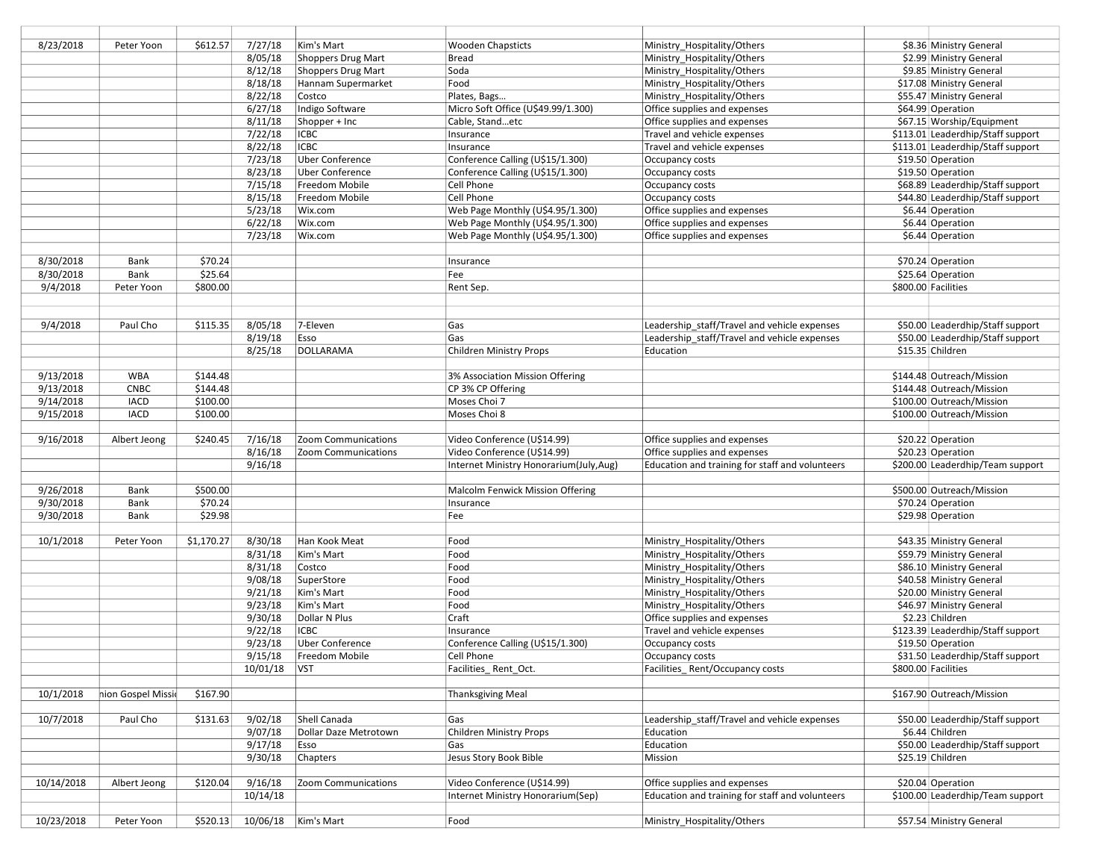| 8/23/2018  | Peter Yoon         | \$612.57   | 7/27/18        | Kim's Mart             | <b>Wooden Chapsticts</b>               | Ministry_Hospitality/Others                     | \$8.36 Ministry General           |
|------------|--------------------|------------|----------------|------------------------|----------------------------------------|-------------------------------------------------|-----------------------------------|
|            |                    |            | 8/05/18        | Shoppers Drug Mart     | <b>Bread</b>                           | Ministry_Hospitality/Others                     | \$2.99 Ministry General           |
|            |                    |            | 8/12/18        | Shoppers Drug Mart     | Soda                                   | Ministry_Hospitality/Others                     | \$9.85 Ministry General           |
|            |                    |            | 8/18/18        | Hannam Supermarket     | Food                                   | Ministry_Hospitality/Others                     | \$17.08 Ministry General          |
|            |                    |            | 8/22/18        | Costco                 | Plates, Bags                           | Ministry_Hospitality/Others                     | \$55.47 Ministry General          |
|            |                    |            | 6/27/18        |                        |                                        |                                                 |                                   |
|            |                    |            |                | Indigo Software        | Micro Soft Office (U\$49.99/1.300)     | Office supplies and expenses                    | \$64.99 Operation                 |
|            |                    |            | 8/11/18        | Shopper + Inc          | Cable, Standetc                        | Office supplies and expenses                    | \$67.15 Worship/Equipment         |
|            |                    |            | 7/22/18        | <b>ICBC</b>            | Insurance                              | Travel and vehicle expenses                     | \$113.01 Leaderdhip/Staff support |
|            |                    |            | 8/22/18        | <b>ICBC</b>            | Insurance                              | Travel and vehicle expenses                     | \$113.01 Leaderdhip/Staff support |
|            |                    |            | 7/23/18        | <b>Uber Conference</b> | Conference Calling (U\$15/1.300)       | Occupancy costs                                 | \$19.50 Operation                 |
|            |                    |            | 8/23/18        | <b>Uber Conference</b> | Conference Calling (U\$15/1.300)       | Occupancy costs                                 | \$19.50 Operation                 |
|            |                    |            | 7/15/18        | Freedom Mobile         | Cell Phone                             | Occupancy costs                                 | \$68.89 Leaderdhip/Staff support  |
|            |                    |            | 8/15/18        | Freedom Mobile         | Cell Phone                             | Occupancy costs                                 | \$44.80 Leaderdhip/Staff support  |
|            |                    |            | 5/23/18        | Wix.com                | Web Page Monthly (U\$4.95/1.300)       | Office supplies and expenses                    | \$6.44 Operation                  |
|            |                    |            | 6/22/18        | Wix.com                | Web Page Monthly (U\$4.95/1.300)       | Office supplies and expenses                    | \$6.44 Operation                  |
|            |                    |            | 7/23/18        | Wix.com                | Web Page Monthly (U\$4.95/1.300)       | Office supplies and expenses                    | \$6.44 Operation                  |
|            |                    |            |                |                        |                                        |                                                 |                                   |
| 8/30/2018  | Bank               | \$70.24    |                |                        | Insurance                              |                                                 | \$70.24 Operation                 |
| 8/30/2018  | Bank               | \$25.64    |                |                        | Fee                                    |                                                 | \$25.64 Operation                 |
|            |                    |            |                |                        |                                        |                                                 |                                   |
| 9/4/2018   | Peter Yoon         | \$800.00   |                |                        | Rent Sep.                              |                                                 | \$800.00 Facilities               |
|            |                    |            |                |                        |                                        |                                                 |                                   |
|            |                    |            |                |                        |                                        |                                                 |                                   |
| 9/4/2018   | Paul Cho           | \$115.35   | 8/05/18        | 7-Eleven               | Gas                                    | Leadership staff/Travel and vehicle expenses    | \$50.00 Leaderdhip/Staff support  |
|            |                    |            | 8/19/18        | Esso                   | Gas                                    | Leadership_staff/Travel and vehicle expenses    | \$50.00 Leaderdhip/Staff support  |
|            |                    |            | 8/25/18        | <b>DOLLARAMA</b>       | <b>Children Ministry Props</b>         | Education                                       | \$15.35 Children                  |
|            |                    |            |                |                        |                                        |                                                 |                                   |
| 9/13/2018  | <b>WBA</b>         | \$144.48   |                |                        | 3% Association Mission Offering        |                                                 | \$144.48 Outreach/Mission         |
| 9/13/2018  | <b>CNBC</b>        | \$144.48   |                |                        | CP 3% CP Offering                      |                                                 | \$144.48 Outreach/Mission         |
| 9/14/2018  | <b>IACD</b>        | \$100.00   |                |                        | Moses Choi 7                           |                                                 | \$100.00 Outreach/Mission         |
| 9/15/2018  | <b>IACD</b>        | \$100.00   |                |                        | Moses Choi 8                           |                                                 | \$100.00 Outreach/Mission         |
|            |                    |            |                |                        |                                        |                                                 |                                   |
|            |                    |            |                |                        |                                        |                                                 |                                   |
|            |                    |            |                |                        |                                        |                                                 |                                   |
| 9/16/2018  | Albert Jeong       | \$240.45   | 7/16/18        | Zoom Communications    | Video Conference (U\$14.99)            | Office supplies and expenses                    | \$20.22 Operation                 |
|            |                    |            | 8/16/18        | Zoom Communications    | Video Conference (U\$14.99)            | Office supplies and expenses                    | \$20.23 Operation                 |
|            |                    |            | 9/16/18        |                        | Internet Ministry Honorarium(July,Aug) | Education and training for staff and volunteers | \$200.00 Leaderdhip/Team support  |
|            |                    |            |                |                        |                                        |                                                 |                                   |
| 9/26/2018  | Bank               | \$500.00   |                |                        | Malcolm Fenwick Mission Offering       |                                                 | \$500.00 Outreach/Mission         |
| 9/30/2018  | Bank               | \$70.24    |                |                        | Insurance                              |                                                 | \$70.24 Operation                 |
| 9/30/2018  | Bank               | \$29.98    |                |                        | Fee                                    |                                                 | \$29.98 Operation                 |
|            |                    |            |                |                        |                                        |                                                 |                                   |
| 10/1/2018  | Peter Yoon         | \$1,170.27 | 8/30/18        | Han Kook Meat          | Food                                   | Ministry_Hospitality/Others                     | \$43.35 Ministry General          |
|            |                    |            | 8/31/18        | Kim's Mart             | Food                                   | Ministry_Hospitality/Others                     | \$59.79 Ministry General          |
|            |                    |            | 8/31/18        | Costco                 | Food                                   | Ministry_Hospitality/Others                     | \$86.10 Ministry General          |
|            |                    |            | 9/08/18        | SuperStore             | Food                                   |                                                 | \$40.58 Ministry General          |
|            |                    |            |                |                        |                                        | Ministry_Hospitality/Others                     |                                   |
|            |                    |            | 9/21/18        | Kim's Mart             | Food                                   | Ministry_Hospitality/Others                     | \$20.00 Ministry General          |
|            |                    |            | 9/23/18        | Kim's Mart             | Food                                   | Ministry_Hospitality/Others                     | \$46.97 Ministry General          |
|            |                    |            | 9/30/18        | Dollar N Plus          | Craft                                  | Office supplies and expenses                    | \$2.23 Children                   |
|            |                    |            | 9/22/18        | <b>ICBC</b>            | Insurance                              | Travel and vehicle expenses                     | \$123.39 Leaderdhip/Staff support |
|            |                    |            | 9/23/18        | <b>Uber Conference</b> | Conference Calling (U\$15/1.300)       | Occupancy costs                                 | \$19.50 Operation                 |
|            |                    |            | 9/15/18        | Freedom Mobile         | Cell Phone                             | Occupancy costs                                 | \$31.50 Leaderdhip/Staff support  |
|            |                    |            | 10/01/18   VST |                        | Facilities Rent Oct.                   | Facilities Rent/Occupancy costs                 | \$800.00 Facilities               |
|            |                    |            |                |                        |                                        |                                                 |                                   |
| 10/1/2018  | nion Gospel Missid | \$167.90   |                |                        | <b>Thanksgiving Meal</b>               |                                                 | \$167.90 Outreach/Mission         |
|            |                    |            |                |                        |                                        |                                                 |                                   |
| 10/7/2018  | Paul Cho           | \$131.63   | 9/02/18        | Shell Canada           | Gas                                    | Leadership staff/Travel and vehicle expenses    | \$50.00 Leaderdhip/Staff support  |
|            |                    |            | 9/07/18        | Dollar Daze Metrotown  | <b>Children Ministry Props</b>         | Education                                       | \$6.44 Children                   |
|            |                    |            | 9/17/18        | Esso                   | Gas                                    | Education                                       | \$50.00 Leaderdhip/Staff support  |
|            |                    |            | 9/30/18        | Chapters               | Jesus Story Book Bible                 | Mission                                         | \$25.19 Children                  |
|            |                    |            |                |                        |                                        |                                                 |                                   |
|            |                    |            |                | Zoom Communications    |                                        |                                                 |                                   |
| 10/14/2018 | Albert Jeong       | \$120.04   | 9/16/18        |                        | Video Conference (U\$14.99)            | Office supplies and expenses                    | \$20.04 Operation                 |
|            |                    |            | 10/14/18       |                        | Internet Ministry Honorarium(Sep)      | Education and training for staff and volunteers | \$100.00 Leaderdhip/Team support  |
| 10/23/2018 | Peter Yoon         | \$520.13   | 10/06/18       | Kim's Mart             | Food                                   | Ministry_Hospitality/Others                     | \$57.54 Ministry General          |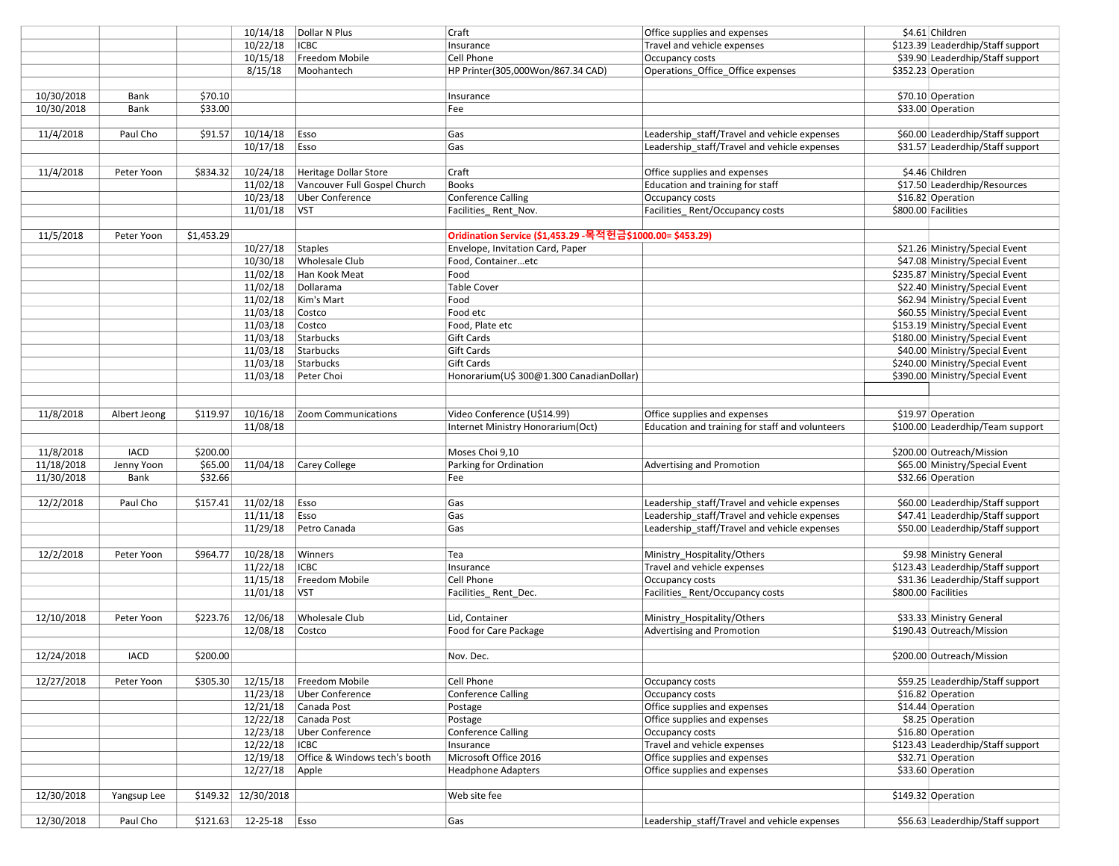|            |              |            | 10/14/18             | Dollar N Plus                 | Craft                                                      | Office supplies and expenses                    | \$4.61 Children                                                    |
|------------|--------------|------------|----------------------|-------------------------------|------------------------------------------------------------|-------------------------------------------------|--------------------------------------------------------------------|
|            |              |            | 10/22/18             | <b>ICBC</b>                   | Insurance                                                  | Travel and vehicle expenses                     | \$123.39 Leaderdhip/Staff support                                  |
|            |              |            | 10/15/18             | Freedom Mobile                | Cell Phone                                                 | Occupancy costs                                 | \$39.90 Leaderdhip/Staff support                                   |
|            |              |            | 8/15/18              | Moohantech                    | HP Printer(305,000Won/867.34 CAD)                          | Operations_Office_Office expenses               | \$352.23 Operation                                                 |
|            |              |            |                      |                               |                                                            |                                                 |                                                                    |
| 10/30/2018 | Bank         | \$70.10    |                      |                               | Insurance                                                  |                                                 | \$70.10 Operation                                                  |
| 10/30/2018 | Bank         | \$33.00    |                      |                               | Fee                                                        |                                                 | \$33.00 Operation                                                  |
|            |              |            |                      |                               |                                                            |                                                 |                                                                    |
| 11/4/2018  | Paul Cho     | \$91.57    | 10/14/18             | Esso                          | Gas                                                        | Leadership_staff/Travel and vehicle expenses    | \$60.00 Leaderdhip/Staff support                                   |
|            |              |            | 10/17/18             | Esso                          | Gas                                                        | Leadership staff/Travel and vehicle expenses    | \$31.57 Leaderdhip/Staff support                                   |
|            |              |            |                      |                               |                                                            |                                                 |                                                                    |
| 11/4/2018  | Peter Yoon   | \$834.32   | 10/24/18             | <b>Heritage Dollar Store</b>  | Craft                                                      | Office supplies and expenses                    | \$4.46 Children                                                    |
|            |              |            | 11/02/18             | Vancouver Full Gospel Church  | <b>Books</b>                                               | Education and training for staff                | \$17.50 Leaderdhip/Resources                                       |
|            |              |            | 10/23/18             | Uber Conference               | <b>Conference Calling</b>                                  | Occupancy costs                                 | \$16.82 Operation                                                  |
|            |              |            | 11/01/18             | <b>VST</b>                    | Facilities_Rent_Nov.                                       | Facilities Rent/Occupancy costs                 | \$800.00 Facilities                                                |
|            |              |            |                      |                               |                                                            |                                                 |                                                                    |
| 11/5/2018  | Peter Yoon   | \$1,453.29 |                      |                               | Oridination Service (\$1,453.29 - 목적헌금\$1000.00= \$453.29) |                                                 |                                                                    |
|            |              |            | 10/27/18             | Staples                       | Envelope, Invitation Card, Paper                           |                                                 | \$21.26 Ministry/Special Event                                     |
|            |              |            | 10/30/18             | <b>Wholesale Club</b>         | Food, Containeretc                                         |                                                 | \$47.08 Ministry/Special Event                                     |
|            |              |            | 11/02/18             | Han Kook Meat                 | Food                                                       |                                                 | \$235.87 Ministry/Special Event                                    |
|            |              |            | 11/02/18             | Dollarama                     | <b>Table Cover</b>                                         |                                                 | \$22.40 Ministry/Special Event                                     |
|            |              |            | 11/02/18             | Kim's Mart                    | Food                                                       |                                                 | \$62.94 Ministry/Special Event                                     |
|            |              |            |                      |                               | Food etc                                                   |                                                 | \$60.55 Ministry/Special Event                                     |
|            |              |            | 11/03/18             | Costco                        |                                                            |                                                 |                                                                    |
|            |              |            | 11/03/18             | Costco<br>Starbucks           | Food, Plate etc<br><b>Gift Cards</b>                       |                                                 | \$153.19 Ministry/Special Event<br>\$180.00 Ministry/Special Event |
|            |              |            | 11/03/18             | Starbucks                     |                                                            |                                                 |                                                                    |
|            |              |            | 11/03/18             |                               | <b>Gift Cards</b>                                          |                                                 | \$40.00 Ministry/Special Event                                     |
|            |              |            | 11/03/18             | Starbucks                     | <b>Gift Cards</b>                                          |                                                 | \$240.00 Ministry/Special Event                                    |
|            |              |            | 11/03/18             | Peter Choi                    | Honorarium(U\$ 300@1.300 CanadianDollar)                   |                                                 | \$390.00 Ministry/Special Event                                    |
|            |              |            |                      |                               |                                                            |                                                 |                                                                    |
|            |              |            |                      |                               |                                                            |                                                 |                                                                    |
| 11/8/2018  | Albert Jeong | \$119.97   | 10/16/18             | Zoom Communications           | Video Conference (U\$14.99)                                | Office supplies and expenses                    | \$19.97 Operation                                                  |
|            |              |            | 11/08/18             |                               | Internet Ministry Honorarium(Oct)                          | Education and training for staff and volunteers | \$100.00 Leaderdhip/Team support                                   |
|            |              |            |                      |                               |                                                            |                                                 |                                                                    |
| 11/8/2018  | <b>IACD</b>  | \$200.00   |                      |                               | Moses Choi 9,10                                            |                                                 | \$200.00 Outreach/Mission                                          |
| 11/18/2018 | Jenny Yoon   | \$65.00    | 11/04/18             | Carey College                 | Parking for Ordination                                     | Advertising and Promotion                       | \$65.00 Ministry/Special Event                                     |
| 11/30/2018 | Bank         | \$32.66    |                      |                               | Fee                                                        |                                                 | \$32.66 Operation                                                  |
|            |              |            |                      |                               |                                                            |                                                 |                                                                    |
| 12/2/2018  | Paul Cho     | \$157.41   | 11/02/18             | Esso                          | Gas                                                        | Leadership staff/Travel and vehicle expenses    | \$60.00 Leaderdhip/Staff support                                   |
|            |              |            | 11/11/18             | Esso                          | Gas                                                        | Leadership_staff/Travel and vehicle expenses    | \$47.41 Leaderdhip/Staff support                                   |
|            |              |            | 11/29/18             | Petro Canada                  | Gas                                                        | Leadership staff/Travel and vehicle expenses    | \$50.00 Leaderdhip/Staff support                                   |
|            |              |            |                      |                               |                                                            |                                                 |                                                                    |
| 12/2/2018  | Peter Yoon   | \$964.77   | 10/28/18             | Winners                       | Tea                                                        | Ministry_Hospitality/Others                     | \$9.98 Ministry General                                            |
|            |              |            | 11/22/18             | <b>ICBC</b>                   | Insurance                                                  | Travel and vehicle expenses                     | \$123.43 Leaderdhip/Staff support                                  |
|            |              |            | 11/15/18             | Freedom Mobile                | Cell Phone                                                 | Occupancy costs                                 | \$31.36 Leaderdhip/Staff support                                   |
|            |              |            | 11/01/18             | <b>VST</b>                    | Facilities_Rent_Dec.                                       | Facilities Rent/Occupancy costs                 | \$800.00 Facilities                                                |
|            |              |            |                      |                               |                                                            |                                                 |                                                                    |
| 12/10/2018 | Peter Yoon   | \$223.76   | 12/06/18             | <b>Wholesale Club</b>         | Lid, Container                                             | Ministry_Hospitality/Others                     | \$33.33 Ministry General                                           |
|            |              |            | 12/08/18             | Costco                        | Food for Care Package                                      | Advertising and Promotion                       | \$190.43 Outreach/Mission                                          |
|            |              |            |                      |                               |                                                            |                                                 |                                                                    |
| 12/24/2018 | <b>IACD</b>  | \$200.00   |                      |                               | Nov. Dec.                                                  |                                                 | \$200.00 Outreach/Mission                                          |
|            |              |            |                      |                               |                                                            |                                                 |                                                                    |
| 12/27/2018 | Peter Yoon   | \$305.30   | 12/15/18             | Freedom Mobile                | Cell Phone                                                 | Occupancy costs                                 | \$59.25 Leaderdhip/Staff support                                   |
|            |              |            | 11/23/18             | <b>Uber Conference</b>        | <b>Conference Calling</b>                                  | Occupancy costs                                 | \$16.82 Operation                                                  |
|            |              |            | 12/21/18             | Canada Post                   | Postage                                                    | Office supplies and expenses                    | \$14.44 Operation                                                  |
|            |              |            | 12/22/18             | Canada Post                   | Postage                                                    | Office supplies and expenses                    | \$8.25 Operation                                                   |
|            |              |            | 12/23/18             | <b>Uber Conference</b>        | <b>Conference Calling</b>                                  | Occupancy costs                                 | \$16.80 Operation                                                  |
|            |              |            | 12/22/18             | <b>ICBC</b>                   | Insurance                                                  | Travel and vehicle expenses                     | \$123.43 Leaderdhip/Staff support                                  |
|            |              |            | 12/19/18             | Office & Windows tech's booth | Microsoft Office 2016                                      | Office supplies and expenses                    | \$32.71 Operation                                                  |
|            |              |            | 12/27/18             | Apple                         | <b>Headphone Adapters</b>                                  | Office supplies and expenses                    | \$33.60 Operation                                                  |
|            |              |            |                      |                               |                                                            |                                                 |                                                                    |
| 12/30/2018 | Yangsup Lee  |            | $$149.32$ 12/30/2018 |                               | Web site fee                                               |                                                 | \$149.32 Operation                                                 |
|            |              |            |                      |                               |                                                            |                                                 |                                                                    |
| 12/30/2018 | Paul Cho     | \$121.63   | 12-25-18             | Esso                          | Gas                                                        | Leadership staff/Travel and vehicle expenses    | \$56.63 Leaderdhip/Staff support                                   |